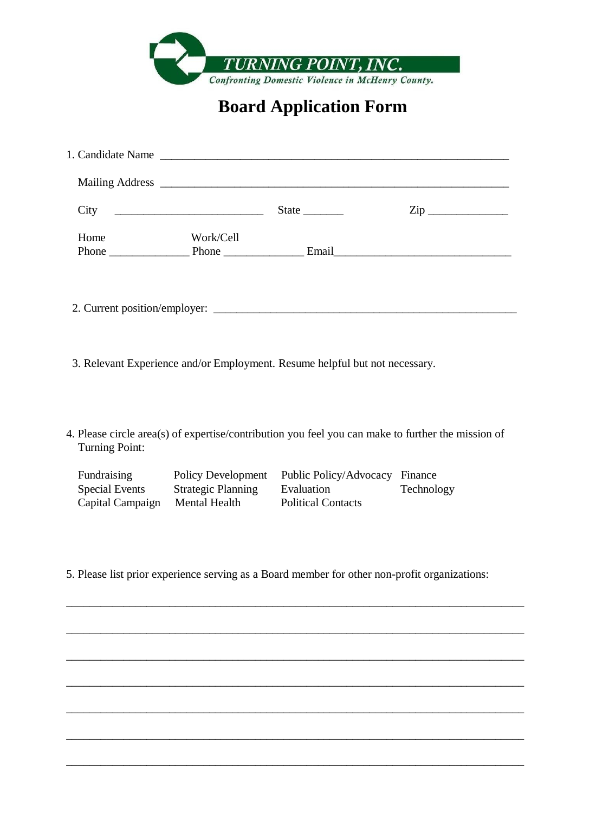

## **Board Application Form**

| State $\_\_\_\_\_\_\_\_\$ | $\mathsf{Zip} \_$                   |
|---------------------------|-------------------------------------|
|                           |                                     |
|                           |                                     |
|                           |                                     |
|                           | Phone Phone Phone Phone Email Email |

3. Relevant Experience and/or Employment. Resume helpful but not necessary.

4. Please circle area(s) of expertise/contribution you feel you can make to further the mission of Turning Point:

| Fundraising      | Policy Development        | Public Policy/Advocacy Finance |            |
|------------------|---------------------------|--------------------------------|------------|
| Special Events   | <b>Strategic Planning</b> | Evaluation                     | Technology |
| Capital Campaign | Mental Health             | <b>Political Contacts</b>      |            |

5. Please list prior experience serving as a Board member for other non-profit organizations:

\_\_\_\_\_\_\_\_\_\_\_\_\_\_\_\_\_\_\_\_\_\_\_\_\_\_\_\_\_\_\_\_\_\_\_\_\_\_\_\_\_\_\_\_\_\_\_\_\_\_\_\_\_\_\_\_\_\_\_\_\_\_\_\_\_\_\_\_\_\_\_\_\_\_\_\_\_\_\_\_

\_\_\_\_\_\_\_\_\_\_\_\_\_\_\_\_\_\_\_\_\_\_\_\_\_\_\_\_\_\_\_\_\_\_\_\_\_\_\_\_\_\_\_\_\_\_\_\_\_\_\_\_\_\_\_\_\_\_\_\_\_\_\_\_\_\_\_\_\_\_\_\_\_\_\_\_\_\_\_\_

\_\_\_\_\_\_\_\_\_\_\_\_\_\_\_\_\_\_\_\_\_\_\_\_\_\_\_\_\_\_\_\_\_\_\_\_\_\_\_\_\_\_\_\_\_\_\_\_\_\_\_\_\_\_\_\_\_\_\_\_\_\_\_\_\_\_\_\_\_\_\_\_\_\_\_\_\_\_\_\_

\_\_\_\_\_\_\_\_\_\_\_\_\_\_\_\_\_\_\_\_\_\_\_\_\_\_\_\_\_\_\_\_\_\_\_\_\_\_\_\_\_\_\_\_\_\_\_\_\_\_\_\_\_\_\_\_\_\_\_\_\_\_\_\_\_\_\_\_\_\_\_\_\_\_\_\_\_\_\_\_

\_\_\_\_\_\_\_\_\_\_\_\_\_\_\_\_\_\_\_\_\_\_\_\_\_\_\_\_\_\_\_\_\_\_\_\_\_\_\_\_\_\_\_\_\_\_\_\_\_\_\_\_\_\_\_\_\_\_\_\_\_\_\_\_\_\_\_\_\_\_\_\_\_\_\_\_\_\_\_\_

\_\_\_\_\_\_\_\_\_\_\_\_\_\_\_\_\_\_\_\_\_\_\_\_\_\_\_\_\_\_\_\_\_\_\_\_\_\_\_\_\_\_\_\_\_\_\_\_\_\_\_\_\_\_\_\_\_\_\_\_\_\_\_\_\_\_\_\_\_\_\_\_\_\_\_\_\_\_\_\_

\_\_\_\_\_\_\_\_\_\_\_\_\_\_\_\_\_\_\_\_\_\_\_\_\_\_\_\_\_\_\_\_\_\_\_\_\_\_\_\_\_\_\_\_\_\_\_\_\_\_\_\_\_\_\_\_\_\_\_\_\_\_\_\_\_\_\_\_\_\_\_\_\_\_\_\_\_\_\_\_